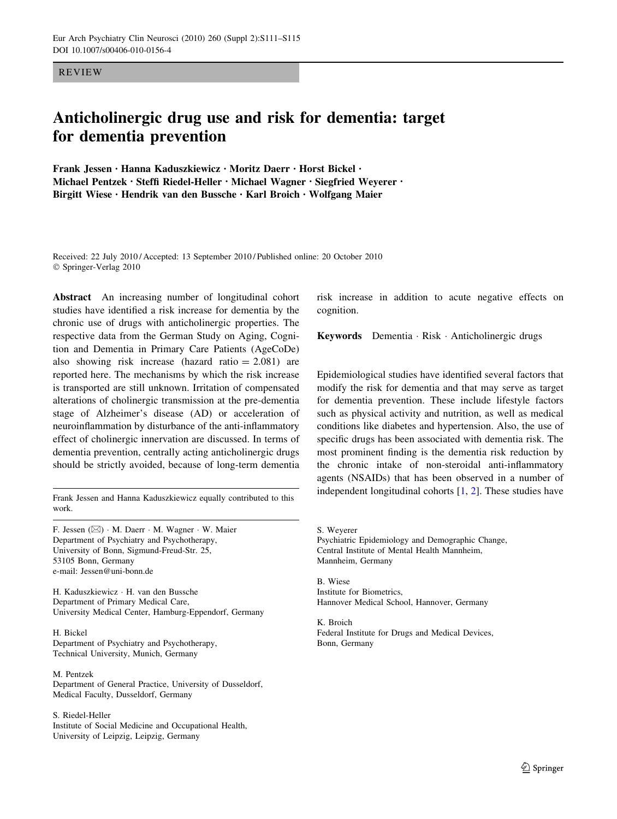REVIEW

## Anticholinergic drug use and risk for dementia: target for dementia prevention

Frank Jessen • Hanna Kaduszkiewicz • Moritz Daerr • Horst Bickel • Michael Pentzek • Steffi Riedel-Heller • Michael Wagner • Siegfried Weyerer • Birgitt Wiese • Hendrik van den Bussche • Karl Broich • Wolfgang Maier

Received: 22 July 2010 / Accepted: 13 September 2010 / Published online: 20 October 2010 © Springer-Verlag 2010

Abstract An increasing number of longitudinal cohort studies have identified a risk increase for dementia by the chronic use of drugs with anticholinergic properties. The respective data from the German Study on Aging, Cognition and Dementia in Primary Care Patients (AgeCoDe) also showing risk increase (hazard ratio  $= 2.081$ ) are reported here. The mechanisms by which the risk increase is transported are still unknown. Irritation of compensated alterations of cholinergic transmission at the pre-dementia stage of Alzheimer's disease (AD) or acceleration of neuroinflammation by disturbance of the anti-inflammatory effect of cholinergic innervation are discussed. In terms of dementia prevention, centrally acting anticholinergic drugs should be strictly avoided, because of long-term dementia

work.

F. Jessen (⊠) · M. Daerr · M. Wagner · W. Maier Department of Psychiatry and Psychotherapy, University of Bonn, Sigmund-Freud-Str. 25, 53105 Bonn, Germany e-mail: Jessen@uni-bonn.de

H. Kaduszkiewicz - H. van den Bussche Department of Primary Medical Care, University Medical Center, Hamburg-Eppendorf, Germany

H. Bickel Department of Psychiatry and Psychotherapy, Technical University, Munich, Germany

M. Pentzek Department of General Practice, University of Dusseldorf, Medical Faculty, Dusseldorf, Germany

S. Riedel-Heller

Institute of Social Medicine and Occupational Health, University of Leipzig, Leipzig, Germany

risk increase in addition to acute negative effects on cognition.

Keywords Dementia - Risk - Anticholinergic drugs

Epidemiological studies have identified several factors that modify the risk for dementia and that may serve as target for dementia prevention. These include lifestyle factors such as physical activity and nutrition, as well as medical conditions like diabetes and hypertension. Also, the use of specific drugs has been associated with dementia risk. The most prominent finding is the dementia risk reduction by the chronic intake of non-steroidal anti-inflammatory agents (NSAIDs) that has been observed in a number of **independent longitudinal cohorts [\[1](#page-3-0), [2\]](#page-3-0). These studies have** Frank Jessen and Hanna Kaduszkiewicz equally contributed to this

> S. Weyerer Psychiatric Epidemiology and Demographic Change, Central Institute of Mental Health Mannheim, Mannheim, Germany

B. Wiese Institute for Biometrics, Hannover Medical School, Hannover, Germany

K. Broich Federal Institute for Drugs and Medical Devices, Bonn, Germany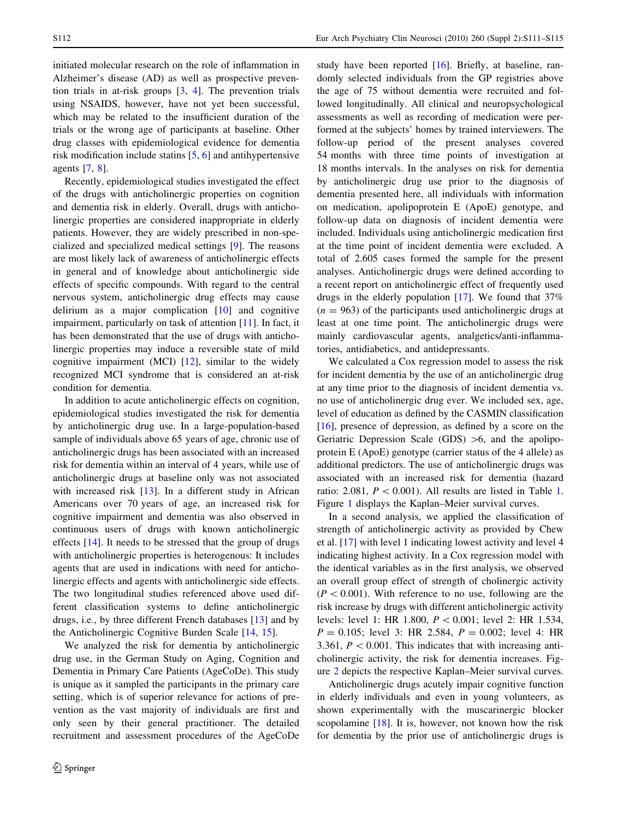initiated molecular research on the role of inflammation in Alzheimer's disease (AD) as well as prospective prevention trials in at-risk groups [[3,](#page-3-0) [4\]](#page-3-0). The prevention trials using NSAIDS, however, have not yet been successful, which may be related to the insufficient duration of the trials or the wrong age of participants at baseline. Other drug classes with epidemiological evidence for dementia risk modification include statins [\[5](#page-3-0), [6](#page-3-0)] and antihypertensive agents [\[7](#page-3-0), [8](#page-3-0)].

Recently, epidemiological studies investigated the effect of the drugs with anticholinergic properties on cognition and dementia risk in elderly. Overall, drugs with anticholinergic properties are considered inappropriate in elderly patients. However, they are widely prescribed in non-specialized and specialized medical settings [\[9](#page-3-0)]. The reasons are most likely lack of awareness of anticholinergic effects in general and of knowledge about anticholinergic side effects of specific compounds. With regard to the central nervous system, anticholinergic drug effects may cause delirium as a major complication [[10\]](#page-3-0) and cognitive impairment, particularly on task of attention [\[11](#page-3-0)]. In fact, it has been demonstrated that the use of drugs with anticholinergic properties may induce a reversible state of mild cognitive impairment (MCI) [\[12](#page-3-0)], similar to the widely recognized MCI syndrome that is considered an at-risk condition for dementia.

In addition to acute anticholinergic effects on cognition, epidemiological studies investigated the risk for dementia by anticholinergic drug use. In a large-population-based sample of individuals above 65 years of age, chronic use of anticholinergic drugs has been associated with an increased risk for dementia within an interval of 4 years, while use of anticholinergic drugs at baseline only was not associated with increased risk [[13\]](#page-3-0). In a different study in African Americans over 70 years of age, an increased risk for cognitive impairment and dementia was also observed in continuous users of drugs with known anticholinergic effects [\[14](#page-3-0)]. It needs to be stressed that the group of drugs with anticholinergic properties is heterogenous: It includes agents that are used in indications with need for anticholinergic effects and agents with anticholinergic side effects. The two longitudinal studies referenced above used different classification systems to define anticholinergic drugs, i.e., by three different French databases [\[13](#page-3-0)] and by the Anticholinergic Cognitive Burden Scale [[14,](#page-3-0) [15\]](#page-4-0).

We analyzed the risk for dementia by anticholinergic drug use, in the German Study on Aging, Cognition and Dementia in Primary Care Patients (AgeCoDe). This study is unique as it sampled the participants in the primary care setting, which is of superior relevance for actions of prevention as the vast majority of individuals are first and only seen by their general practitioner. The detailed recruitment and assessment procedures of the AgeCoDe study have been reported [[16\]](#page-4-0). Briefly, at baseline, randomly selected individuals from the GP registries above the age of 75 without dementia were recruited and followed longitudinally. All clinical and neuropsychological assessments as well as recording of medication were performed at the subjects' homes by trained interviewers. The follow-up period of the present analyses covered 54 months with three time points of investigation at 18 months intervals. In the analyses on risk for dementia by anticholinergic drug use prior to the diagnosis of dementia presented here, all individuals with information on medication, apolipoprotein E (ApoE) genotype, and follow-up data on diagnosis of incident dementia were included. Individuals using anticholinergic medication first at the time point of incident dementia were excluded. A total of 2.605 cases formed the sample for the present analyses. Anticholinergic drugs were defined according to a recent report on anticholinergic effect of frequently used drugs in the elderly population [\[17](#page-4-0)]. We found that 37%  $(n = 963)$  of the participants used anticholinergic drugs at least at one time point. The anticholinergic drugs were mainly cardiovascular agents, analgetics/anti-inflammatories, antidiabetics, and antidepressants.

We calculated a Cox regression model to assess the risk for incident dementia by the use of an anticholinergic drug at any time prior to the diagnosis of incident dementia vs. no use of anticholinergic drug ever. We included sex, age, level of education as defined by the CASMIN classification [\[16](#page-4-0)], presence of depression, as defined by a score on the Geriatric Depression Scale  $(GDS) > 6$ , and the apolipoprotein E (ApoE) genotype (carrier status of the 4 allele) as additional predictors. The use of anticholinergic drugs was associated with an increased risk for dementia (hazard ratio: 2.081,  $P < 0.001$ ). All results are listed in Table [1.](#page-2-0) Figure [1](#page-2-0) displays the Kaplan–Meier survival curves.

In a second analysis, we applied the classification of strength of anticholinergic activity as provided by Chew et al. [\[17](#page-4-0)] with level 1 indicating lowest activity and level 4 indicating highest activity. In a Cox regression model with the identical variables as in the first analysis, we observed an overall group effect of strength of cholinergic activity  $(P<0.001)$ . With reference to no use, following are the risk increase by drugs with different anticholinergic activity levels: level 1: HR 1.800, P\0.001; level 2: HR 1.534,  $P = 0.105$ ; level 3: HR 2.584,  $P = 0.002$ ; level 4: HR 3.361,  $P < 0.001$ . This indicates that with increasing anticholinergic activity, the risk for dementia increases. Figure [2](#page-2-0) depicts the respective Kaplan–Meier survival curves.

Anticholinergic drugs acutely impair cognitive function in elderly individuals and even in young volunteers, as shown experimentally with the muscarinergic blocker scopolamine [[18\]](#page-4-0). It is, however, not known how the risk for dementia by the prior use of anticholinergic drugs is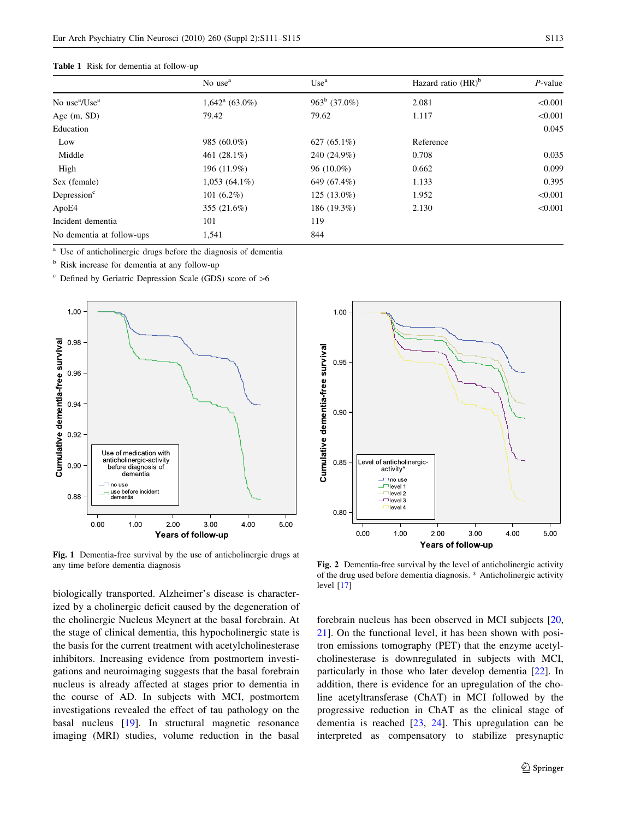|                                       | No use <sup>a</sup>     | Use <sup>a</sup> | Hazard ratio $(HR)^b$ | $P$ -value |
|---------------------------------------|-------------------------|------------------|-----------------------|------------|
| No use <sup>a</sup> /Use <sup>a</sup> | $1,642^{\circ}$ (63.0%) | $963^b$ (37.0%)  | 2.081                 | < 0.001    |
| Age $(m, SD)$                         | 79.42                   | 79.62            | 1.117                 | < 0.001    |
| Education                             |                         |                  |                       | 0.045      |
| Low                                   | 985 (60.0%)             | 627 $(65.1\%)$   | Reference             |            |
| Middle                                | 461 (28.1%)             | 240 (24.9%)      | 0.708                 | 0.035      |
| High                                  | 196 (11.9%)             | $96(10.0\%)$     | 0.662                 | 0.099      |
| Sex (female)                          | $1,053(64.1\%)$         | 649 (67.4%)      | 1.133                 | 0.395      |
| Depression $\mathrm{c}$               | $101(6.2\%)$            | $125(13.0\%)$    | 1.952                 | < 0.001    |
| ApoE4                                 | 355 (21.6%)             | 186 (19.3%)      | 2.130                 | < 0.001    |
| Incident dementia                     | 101                     | 119              |                       |            |
| No dementia at follow-ups             | 1,541                   | 844              |                       |            |

<span id="page-2-0"></span>Table 1 Risk for dementia at follow-up

<sup>a</sup> Use of anticholinergic drugs before the diagnosis of dementia

<sup>b</sup> Risk increase for dementia at any follow-up

 $\degree$  Defined by Geriatric Depression Scale (GDS) score of  $\geq 6$ 



Fig. 1 Dementia-free survival by the use of anticholinergic drugs at any time before dementia diagnosis Fig. 2 Dementia-free survival by the level of anticholinergic activity

biologically transported. Alzheimer's disease is characterized by a cholinergic deficit caused by the degeneration of the cholinergic Nucleus Meynert at the basal forebrain. At the stage of clinical dementia, this hypocholinergic state is the basis for the current treatment with acetylcholinesterase inhibitors. Increasing evidence from postmortem investigations and neuroimaging suggests that the basal forebrain nucleus is already affected at stages prior to dementia in the course of AD. In subjects with MCI, postmortem investigations revealed the effect of tau pathology on the basal nucleus [\[19](#page-4-0)]. In structural magnetic resonance imaging (MRI) studies, volume reduction in the basal



of the drug used before dementia diagnosis. \* Anticholinergic activity level [\[17\]](#page-4-0)

forebrain nucleus has been observed in MCI subjects [[20,](#page-4-0) [21](#page-4-0)]. On the functional level, it has been shown with positron emissions tomography (PET) that the enzyme acetylcholinesterase is downregulated in subjects with MCI, particularly in those who later develop dementia [\[22](#page-4-0)]. In addition, there is evidence for an upregulation of the choline acetyltransferase (ChAT) in MCI followed by the progressive reduction in ChAT as the clinical stage of dementia is reached [\[23](#page-4-0), [24\]](#page-4-0). This upregulation can be interpreted as compensatory to stabilize presynaptic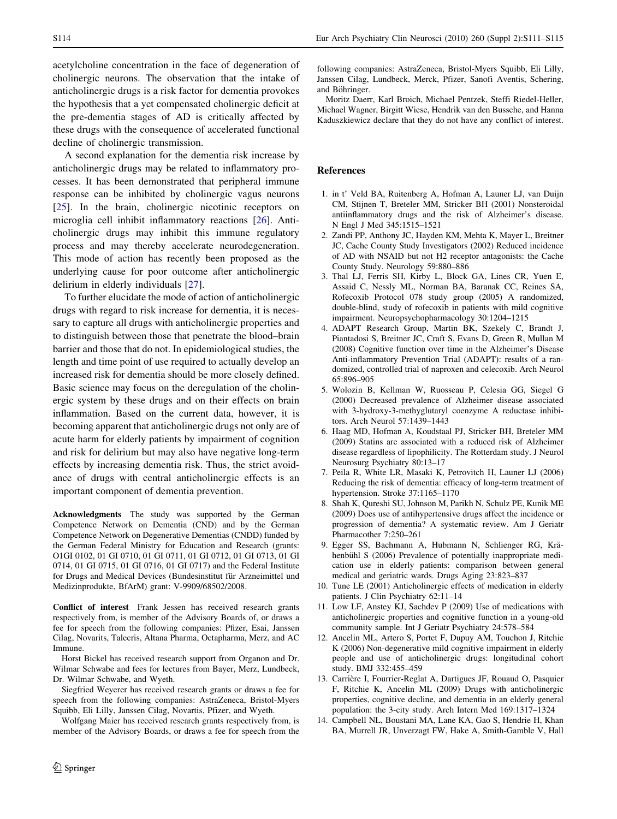<span id="page-3-0"></span>acetylcholine concentration in the face of degeneration of cholinergic neurons. The observation that the intake of anticholinergic drugs is a risk factor for dementia provokes the hypothesis that a yet compensated cholinergic deficit at the pre-dementia stages of AD is critically affected by these drugs with the consequence of accelerated functional decline of cholinergic transmission.

A second explanation for the dementia risk increase by anticholinergic drugs may be related to inflammatory processes. It has been demonstrated that peripheral immune response can be inhibited by cholinergic vagus neurons [\[25](#page-4-0)]. In the brain, cholinergic nicotinic receptors on microglia cell inhibit inflammatory reactions [\[26](#page-4-0)]. Anticholinergic drugs may inhibit this immune regulatory process and may thereby accelerate neurodegeneration. This mode of action has recently been proposed as the underlying cause for poor outcome after anticholinergic delirium in elderly individuals [[27\]](#page-4-0).

To further elucidate the mode of action of anticholinergic drugs with regard to risk increase for dementia, it is necessary to capture all drugs with anticholinergic properties and to distinguish between those that penetrate the blood–brain barrier and those that do not. In epidemiological studies, the length and time point of use required to actually develop an increased risk for dementia should be more closely defined. Basic science may focus on the deregulation of the cholinergic system by these drugs and on their effects on brain inflammation. Based on the current data, however, it is becoming apparent that anticholinergic drugs not only are of acute harm for elderly patients by impairment of cognition and risk for delirium but may also have negative long-term effects by increasing dementia risk. Thus, the strict avoidance of drugs with central anticholinergic effects is an important component of dementia prevention.

Acknowledgments The study was supported by the German Competence Network on Dementia (CND) and by the German Competence Network on Degenerative Dementias (CNDD) funded by the German Federal Ministry for Education and Research (grants: O1GI 0102, 01 GI 0710, 01 GI 0711, 01 GI 0712, 01 GI 0713, 01 GI 0714, 01 GI 0715, 01 GI 0716, 01 GI 0717) and the Federal Institute for Drugs and Medical Devices (Bundesinstitut für Arzneimittel und Medizinprodukte, BfArM) grant: V-9909/68502/2008.

Conflict of interest Frank Jessen has received research grants respectively from, is member of the Advisory Boards of, or draws a fee for speech from the following companies: Pfizer, Esai, Janssen Cilag, Novarits, Talecris, Altana Pharma, Octapharma, Merz, and AC Immune.

Horst Bickel has received research support from Organon and Dr. Wilmar Schwabe and fees for lectures from Bayer, Merz, Lundbeck, Dr. Wilmar Schwabe, and Wyeth.

Siegfried Weyerer has received research grants or draws a fee for speech from the following companies: AstraZeneca, Bristol-Myers Squibb, Eli Lilly, Janssen Cilag, Novartis, Pfizer, and Wyeth.

Wolfgang Maier has received research grants respectively from, is member of the Advisory Boards, or draws a fee for speech from the

following companies: AstraZeneca, Bristol-Myers Squibb, Eli Lilly, Janssen Cilag, Lundbeck, Merck, Pfizer, Sanofi Aventis, Schering, and Böhringer.

Moritz Daerr, Karl Broich, Michael Pentzek, Steffi Riedel-Heller, Michael Wagner, Birgitt Wiese, Hendrik van den Bussche, and Hanna Kaduszkiewicz declare that they do not have any conflict of interest.

## References

- 1. in t' Veld BA, Ruitenberg A, Hofman A, Launer LJ, van Duijn CM, Stijnen T, Breteler MM, Stricker BH (2001) Nonsteroidal antiinflammatory drugs and the risk of Alzheimer's disease. N Engl J Med 345:1515–1521
- 2. Zandi PP, Anthony JC, Hayden KM, Mehta K, Mayer L, Breitner JC, Cache County Study Investigators (2002) Reduced incidence of AD with NSAID but not H2 receptor antagonists: the Cache County Study. Neurology 59:880–886
- 3. Thal LJ, Ferris SH, Kirby L, Block GA, Lines CR, Yuen E, Assaid C, Nessly ML, Norman BA, Baranak CC, Reines SA, Rofecoxib Protocol 078 study group (2005) A randomized, double-blind, study of rofecoxib in patients with mild cognitive impairment. Neuropsychopharmacology 30:1204–1215
- 4. ADAPT Research Group, Martin BK, Szekely C, Brandt J, Piantadosi S, Breitner JC, Craft S, Evans D, Green R, Mullan M (2008) Cognitive function over time in the Alzheimer's Disease Anti-inflammatory Prevention Trial (ADAPT): results of a randomized, controlled trial of naproxen and celecoxib. Arch Neurol 65:896–905
- 5. Wolozin B, Kellman W, Ruosseau P, Celesia GG, Siegel G (2000) Decreased prevalence of Alzheimer disease associated with 3-hydroxy-3-methyglutaryl coenzyme A reductase inhibitors. Arch Neurol 57:1439–1443
- 6. Haag MD, Hofman A, Koudstaal PJ, Stricker BH, Breteler MM (2009) Statins are associated with a reduced risk of Alzheimer disease regardless of lipophilicity. The Rotterdam study. J Neurol Neurosurg Psychiatry 80:13–17
- 7. Peila R, White LR, Masaki K, Petrovitch H, Launer LJ (2006) Reducing the risk of dementia: efficacy of long-term treatment of hypertension. Stroke 37:1165–1170
- 8. Shah K, Qureshi SU, Johnson M, Parikh N, Schulz PE, Kunik ME (2009) Does use of antihypertensive drugs affect the incidence or progression of dementia? A systematic review. Am J Geriatr Pharmacother 7:250–261
- 9. Egger SS, Bachmann A, Hubmann N, Schlienger RG, Krähenbühl S (2006) Prevalence of potentially inappropriate medication use in elderly patients: comparison between general medical and geriatric wards. Drugs Aging 23:823–837
- 10. Tune LE (2001) Anticholinergic effects of medication in elderly patients. J Clin Psychiatry 62:11–14
- 11. Low LF, Anstey KJ, Sachdev P (2009) Use of medications with anticholinergic properties and cognitive function in a young-old community sample. Int J Geriatr Psychiatry 24:578–584
- 12. Ancelin ML, Artero S, Portet F, Dupuy AM, Touchon J, Ritchie K (2006) Non-degenerative mild cognitive impairment in elderly people and use of anticholinergic drugs: longitudinal cohort study. BMJ 332:455–459
- 13. Carrière I, Fourrier-Reglat A, Dartigues JF, Rouaud O, Pasquier F, Ritchie K, Ancelin ML (2009) Drugs with anticholinergic properties, cognitive decline, and dementia in an elderly general population: the 3-city study. Arch Intern Med 169:1317–1324
- 14. Campbell NL, Boustani MA, Lane KA, Gao S, Hendrie H, Khan BA, Murrell JR, Unverzagt FW, Hake A, Smith-Gamble V, Hall